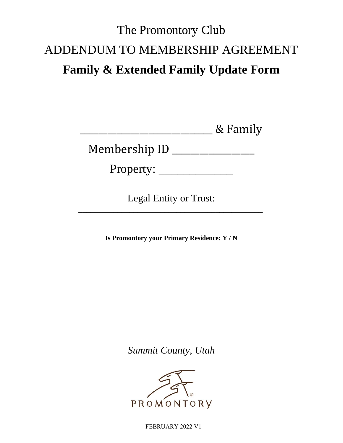# The Promontory Club ADDENDUM TO MEMBERSHIP AGREEMENT **Family & Extended Family Update Form**

\_\_\_\_\_\_\_\_\_\_\_\_\_\_\_\_\_\_\_\_\_\_\_\_\_\_\_\_\_ & Family

Membership ID \_\_\_\_\_\_\_\_\_\_\_\_\_\_\_\_\_\_

Property: \_\_\_\_\_\_\_\_\_\_\_\_

Legal Entity or Trust:

\_\_\_\_\_\_\_\_\_\_\_\_\_\_\_\_\_\_\_\_\_\_\_\_\_\_\_\_\_\_\_\_\_\_\_\_\_\_\_\_\_\_\_\_\_\_\_

**Is Promontory your Primary Residence: Y / N**

*Summit County, Utah*



FEBRUARY 2022 V1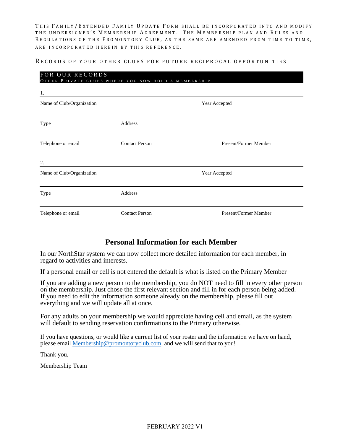THIS FAMILY/EXTENDED FAMILY UPDATE FORM SHALL BE INCORPORATED INTO AND MODIFY THE UNDERSIGNED'S MEMBERSHIP AGREEMENT. THE MEMBERSHIP PLAN AND RULES AND REGULATIONS OF THE PROMONTORY CLUB, AS THE SAME ARE AMENDED FROM TIME TO TIME, ARE INCORPORATED HEREIN BY THIS REFERENCE.

#### RECORDS OF YOUR OTHER CLUBS FOR FUTURE RECIPROCAL OPPORTUNITIES

| FOR OUR RECORDS<br>OTHER PRIVATE CLUBS WHERE YOU NOW HOLD A MEMBERSHIP |                       |                       |  |  |
|------------------------------------------------------------------------|-----------------------|-----------------------|--|--|
| 1.                                                                     |                       |                       |  |  |
| Name of Club/Organization                                              |                       | Year Accepted         |  |  |
| Type                                                                   | Address               |                       |  |  |
| Telephone or email                                                     | <b>Contact Person</b> | Present/Former Member |  |  |
| 2.                                                                     |                       |                       |  |  |
| Name of Club/Organization                                              |                       | Year Accepted         |  |  |
| Type                                                                   | Address               |                       |  |  |
| Telephone or email                                                     | <b>Contact Person</b> | Present/Former Member |  |  |

### **Personal Information for each Member**

In our NorthStar system we can now collect more detailed information for each member, in regard to activities and interests.

If a personal email or cell is not entered the default is what is listed on the Primary Member

If you are adding a new person to the membership, you do NOT need to fill in every other person on the membership. Just chose the first relevant section and fill in for each person being added. If you need to edit the information someone already on the membership, please fill out everything and we will update all at once.

For any adults on your membership we would appreciate having cell and email, as the system will default to sending reservation confirmations to the Primary otherwise.

If you have questions, or would like a current list of your roster and the information we have on hand, please email [Membership@promontoryclub.com,](mailto:Membership@promontoryclub.com) and we will send that to you!

Thank you,

Membership Team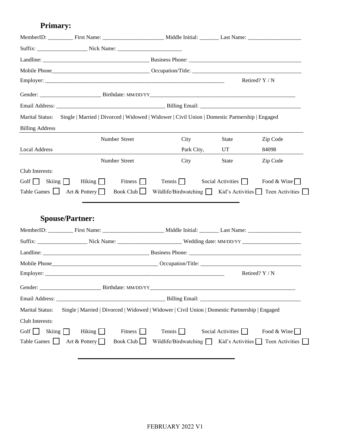## **Primary:**

|                              | MemberID: First Name: Middle Initial: Last Name: Last Name:                                    |                                                                             |                                                                                                                                                                                                                                |                                                |
|------------------------------|------------------------------------------------------------------------------------------------|-----------------------------------------------------------------------------|--------------------------------------------------------------------------------------------------------------------------------------------------------------------------------------------------------------------------------|------------------------------------------------|
|                              |                                                                                                |                                                                             |                                                                                                                                                                                                                                |                                                |
|                              |                                                                                                |                                                                             |                                                                                                                                                                                                                                |                                                |
|                              |                                                                                                |                                                                             |                                                                                                                                                                                                                                |                                                |
|                              |                                                                                                |                                                                             |                                                                                                                                                                                                                                | Retired? Y / N                                 |
|                              |                                                                                                |                                                                             |                                                                                                                                                                                                                                |                                                |
|                              |                                                                                                |                                                                             |                                                                                                                                                                                                                                |                                                |
| Marital Status:              | Single   Married   Divorced   Widowed   Widower   Civil Union   Domestic Partnership   Engaged |                                                                             |                                                                                                                                                                                                                                |                                                |
| <b>Billing Address</b>       |                                                                                                |                                                                             |                                                                                                                                                                                                                                |                                                |
|                              | Number Street                                                                                  | City                                                                        | State                                                                                                                                                                                                                          | Zip Code                                       |
| <b>Local Address</b>         |                                                                                                | Park City,                                                                  | UT FOR THE USE OF THE USE OF THE USE OF THE USE OF THE USE OF THE USE OF THE USE OF THE USE OF THE USE OF THE USE OF THE USE OF THE USE OF THE USE OF THE USE OF THE USE OF THE USE OF THE USE OF THE USE OF THE USE OF THE US | 84098                                          |
|                              | Number Street                                                                                  | City                                                                        | State                                                                                                                                                                                                                          | Zip Code                                       |
| Club Interests:              |                                                                                                |                                                                             |                                                                                                                                                                                                                                |                                                |
| Golf $\Box$<br>Skiing $\Box$ | Hiking $\Box$<br>Fitness $\Box$                                                                | Tennis $\Box$                                                               | Social Activities $\Box$                                                                                                                                                                                                       | Food & Wine                                    |
| Table Games $\Box$           | Book Club $\Box$<br>Art & Pottery                                                              | Wildlife/Birdwatching $\Box$ Kid's Activities $\Box$ Teen Activities $\Box$ |                                                                                                                                                                                                                                |                                                |
|                              |                                                                                                |                                                                             |                                                                                                                                                                                                                                |                                                |
|                              |                                                                                                |                                                                             |                                                                                                                                                                                                                                |                                                |
|                              | <b>Spouse/Partner:</b>                                                                         |                                                                             |                                                                                                                                                                                                                                |                                                |
|                              |                                                                                                |                                                                             |                                                                                                                                                                                                                                |                                                |
|                              |                                                                                                |                                                                             |                                                                                                                                                                                                                                |                                                |
|                              |                                                                                                |                                                                             |                                                                                                                                                                                                                                |                                                |
|                              |                                                                                                |                                                                             |                                                                                                                                                                                                                                |                                                |
|                              |                                                                                                |                                                                             |                                                                                                                                                                                                                                | Retired? Y / N                                 |
| Gender:                      |                                                                                                |                                                                             |                                                                                                                                                                                                                                |                                                |
|                              |                                                                                                |                                                                             |                                                                                                                                                                                                                                |                                                |
| Marital Status:              | Single   Married   Divorced   Widowed   Widower   Civil Union   Domestic Partnership   Engaged |                                                                             |                                                                                                                                                                                                                                |                                                |
| Club Interests:              |                                                                                                |                                                                             |                                                                                                                                                                                                                                |                                                |
| Golf $\Box$<br>Skiing $\Box$ | Fitness $\Box$<br>Hiking $\Box$                                                                | Tennis $\Box$                                                               | Social Activities $\Box$                                                                                                                                                                                                       | Food & Wine                                    |
| Table Games                  | Book Club<br>Art & Pottery                                                                     | Wildlife/Birdwatching $\Box$                                                |                                                                                                                                                                                                                                | Kid's Activities $\Box$ Teen Activities $\Box$ |
|                              |                                                                                                |                                                                             |                                                                                                                                                                                                                                |                                                |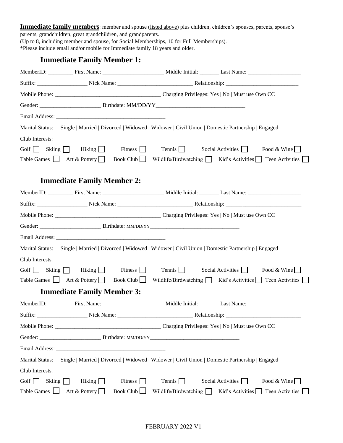**Immediate family members**: member and spouse (listed above) plus children, children's spouses, parents, spouse's parents, grandchildren, great grandchildren, and grandparents.

(Up to 8, including member and spouse, for Social Memberships, 10 for Full Memberships). \*Please include email and/or mobile for Immediate family 18 years and older.

### **Immediate Family Member 1:**

| Marital Status:        |                                                          | Single   Married   Divorced   Widowed   Widower   Civil Union   Domestic Partnership   Engaged                 |                                                                             |  |
|------------------------|----------------------------------------------------------|----------------------------------------------------------------------------------------------------------------|-----------------------------------------------------------------------------|--|
| Club Interests:        |                                                          |                                                                                                                |                                                                             |  |
|                        | Golf $\Box$ Skiing $\Box$ Hiking $\Box$                  | Fitness $\Box$<br>Tennis $\Box$                                                                                | Social Activities $\Box$<br>Food & Wine                                     |  |
|                        | Table Games $\Box$ Art & Pottery                         | Book Club $\Box$                                                                                               | Wildlife/Birdwatching $\Box$ Kid's Activities $\Box$ Teen Activities $\Box$ |  |
|                        |                                                          |                                                                                                                |                                                                             |  |
|                        | <b>Immediate Family Member 2:</b>                        |                                                                                                                |                                                                             |  |
|                        |                                                          |                                                                                                                |                                                                             |  |
|                        |                                                          |                                                                                                                |                                                                             |  |
|                        |                                                          |                                                                                                                |                                                                             |  |
|                        |                                                          |                                                                                                                |                                                                             |  |
|                        |                                                          |                                                                                                                |                                                                             |  |
|                        |                                                          | Marital Status: Single   Married   Divorced   Widowed   Widower   Civil Union   Domestic Partnership   Engaged |                                                                             |  |
| Club Interests:        |                                                          |                                                                                                                |                                                                             |  |
|                        | Golf Skiing Hiking $\Box$                                | Fitness $\Box$<br>$Tennis$ Social Activities                                                                   | Food & Wine                                                                 |  |
|                        | Table Games $\Box$ Art & Pottery $\Box$ Book Club $\Box$ |                                                                                                                | Wildlife/Birdwatching Kid's Activities Teen Activities                      |  |
|                        | <b>Immediate Family Member 3:</b>                        |                                                                                                                |                                                                             |  |
|                        |                                                          |                                                                                                                | MemberID: First Name: First Name: Middle Initial: Last Name: Last Name:     |  |
| Suffix:                | Nick Name:                                               |                                                                                                                |                                                                             |  |
|                        |                                                          |                                                                                                                |                                                                             |  |
|                        |                                                          |                                                                                                                |                                                                             |  |
|                        |                                                          |                                                                                                                |                                                                             |  |
| <b>Marital Status:</b> |                                                          | Single   Married   Divorced   Widowed   Widower   Civil Union   Domestic Partnership   Engaged                 |                                                                             |  |
| Club Interests:        |                                                          |                                                                                                                |                                                                             |  |
| Golf $\Box$            | Skiing $\Box$<br>Hiking $\Box$                           | Fitness [<br>Tennis $\Box$                                                                                     | Social Activities $\Box$<br>Food & Wine                                     |  |
| Table Games            | Art & Pottery                                            | Book Club<br>Wildlife/Birdwatching $\Box$                                                                      | Teen Activities  <br>Kid's Activities                                       |  |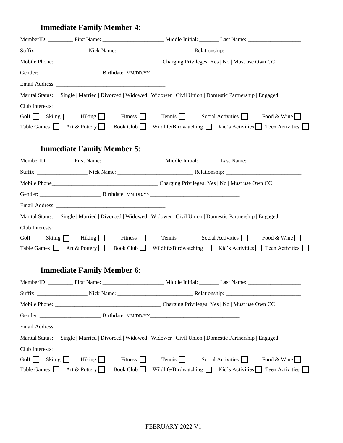# **Immediate Family Member 4:**

|                        |                                                        |                  |                       | MemberID: First Name: First Name: Middle Initial: Last Name: ____________________              |  |
|------------------------|--------------------------------------------------------|------------------|-----------------------|------------------------------------------------------------------------------------------------|--|
|                        |                                                        |                  |                       |                                                                                                |  |
|                        |                                                        |                  |                       |                                                                                                |  |
|                        |                                                        |                  |                       |                                                                                                |  |
|                        |                                                        |                  |                       |                                                                                                |  |
| <b>Marital Status:</b> |                                                        |                  |                       | Single   Married   Divorced   Widowed   Widower   Civil Union   Domestic Partnership   Engaged |  |
| Club Interests:        |                                                        |                  |                       |                                                                                                |  |
|                        | Golf Skiing Hiking Fitness $\Box$                      |                  | Tennis $\Box$         | Social Activities $\Box$<br>Food & Wine                                                        |  |
|                        | Table Games $\Box$ Art & Pottery                       | Book Club $\Box$ |                       | Wildlife/Birdwatching $\Box$ Kid's Activities $\Box$ Teen Activities $\Box$                    |  |
|                        |                                                        |                  |                       |                                                                                                |  |
|                        | <b>Immediate Family Member 5:</b>                      |                  |                       |                                                                                                |  |
|                        |                                                        |                  |                       | MemberID: First Name: First Name: Middle Initial: Last Name: ____________________              |  |
|                        |                                                        |                  |                       |                                                                                                |  |
|                        |                                                        |                  |                       |                                                                                                |  |
|                        |                                                        |                  |                       |                                                                                                |  |
|                        |                                                        |                  |                       |                                                                                                |  |
| <b>Marital Status:</b> |                                                        |                  |                       | Single   Married   Divorced   Widowed   Widower   Civil Union   Domestic Partnership   Engaged |  |
| Club Interests:        |                                                        |                  |                       |                                                                                                |  |
|                        | Golf $\Box$ Skiing $\Box$ Hiking $\Box$ Fitness $\Box$ |                  | Tennis $\Box$         | Social Activities $\Box$<br>Food & Wine                                                        |  |
|                        | Table Games $\Box$ Art & Pottery                       |                  |                       | Book Club Wildlife/Birdwatching Kid's Activities Teen Activities                               |  |
|                        |                                                        |                  |                       |                                                                                                |  |
|                        | <b>Immediate Family Member 6:</b>                      |                  |                       |                                                                                                |  |
|                        |                                                        |                  |                       |                                                                                                |  |
|                        |                                                        |                  |                       |                                                                                                |  |
|                        |                                                        |                  |                       | Mobile Phone: Charging Privileges: Yes   No   Must use Own CC                                  |  |
|                        |                                                        |                  |                       |                                                                                                |  |
|                        |                                                        |                  |                       |                                                                                                |  |
| <b>Marital Status:</b> |                                                        |                  |                       | Single   Married   Divorced   Widowed   Widower   Civil Union   Domestic Partnership   Engaged |  |
| Club Interests:        |                                                        |                  |                       |                                                                                                |  |
| Golf $\Box$<br>Skiing  | Hiking $\Box$                                          | Fitness $\Box$   | Tennis $\Box$         | Social Activities<br>Food & Wine                                                               |  |
| Table Games $\Box$     | Art & Pottery                                          | Book Club        | Wildlife/Birdwatching | Kid's Activities $\Box$<br>Teen Activities                                                     |  |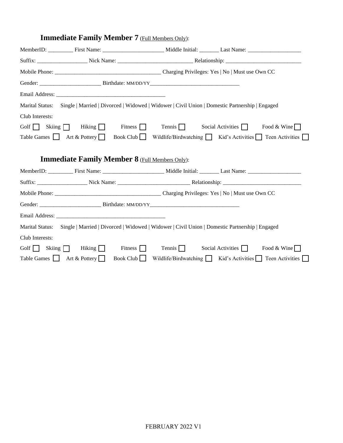|                 |                                         | MemberID: First Name: First Name: Middle Initial: Last Name: ____________________                                             |
|-----------------|-----------------------------------------|-------------------------------------------------------------------------------------------------------------------------------|
|                 |                                         |                                                                                                                               |
|                 |                                         |                                                                                                                               |
|                 |                                         |                                                                                                                               |
|                 |                                         |                                                                                                                               |
|                 |                                         | Marital Status: Single   Married   Divorced   Widowed   Widower   Civil Union   Domestic Partnership   Engaged                |
| Club Interests: |                                         |                                                                                                                               |
|                 |                                         | Golf Skiing Hiking Fitness Tennis Social Activities Food & Wine                                                               |
|                 |                                         | Table Games $\Box$ Art & Pottery $\Box$ Book Club $\Box$ Wildlife/Birdwatching $\Box$ Kid's Activities $\Box$ Teen Activities |
|                 |                                         |                                                                                                                               |
|                 |                                         | <b>Immediate Family Member 8</b> (Full Members Only):                                                                         |
|                 |                                         | MemberID: First Name: First Name: Middle Initial: Last Name: ____________________                                             |
|                 |                                         |                                                                                                                               |
|                 |                                         |                                                                                                                               |
|                 |                                         |                                                                                                                               |
|                 |                                         |                                                                                                                               |
|                 |                                         | Marital Status: Single   Married   Divorced   Widowed   Widower   Civil Union   Domestic Partnership   Engaged                |
| Club Interests: |                                         |                                                                                                                               |
|                 | Golf $\Box$ Skiing $\Box$ Hiking $\Box$ | Fitness $\Box$<br>$Tennis$ Social Activities<br>Food & Wine                                                                   |
|                 | Table Games $\Box$ Art & Pottery        | Book Club Wildlife/Birdwatching $\Box$ Kid's Activities $\Box$ Teen Activities                                                |

### **Immediate Family Member 7** (Full Members Only):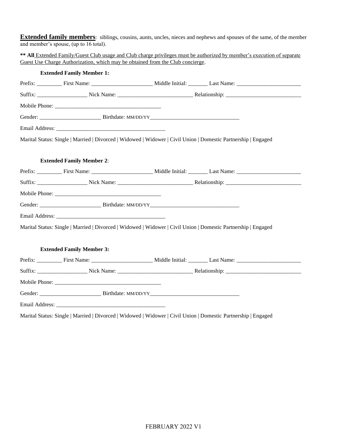**Extended family members**: siblings, cousins, aunts, uncles, nieces and nephews and spouses of the same, of the member and member's spouse, (up to 16 total).

**\*\* All** Extended Family/Guest Club usage and Club charge privileges must be authorized by member's execution of separate Guest Use Charge Authorization, which may be obtained from the Club concierge.

| <b>Extended Family Member 1:</b>                                                                               |                                                                      |
|----------------------------------------------------------------------------------------------------------------|----------------------------------------------------------------------|
|                                                                                                                |                                                                      |
|                                                                                                                |                                                                      |
|                                                                                                                |                                                                      |
|                                                                                                                |                                                                      |
|                                                                                                                |                                                                      |
| Marital Status: Single   Married   Divorced   Widowed   Widower   Civil Union   Domestic Partnership   Engaged |                                                                      |
|                                                                                                                |                                                                      |
| <b>Extended Family Member 2:</b>                                                                               |                                                                      |
|                                                                                                                |                                                                      |
|                                                                                                                |                                                                      |
|                                                                                                                |                                                                      |
|                                                                                                                |                                                                      |
|                                                                                                                |                                                                      |
| Marital Status: Single   Married   Divorced   Widowed   Widower   Civil Union   Domestic Partnership   Engaged |                                                                      |
|                                                                                                                |                                                                      |
| <b>Extended Family Member 3:</b>                                                                               |                                                                      |
|                                                                                                                |                                                                      |
|                                                                                                                | Suffix: Nick Name: Nick Name: Relationship: Nick Name: Relationship: |
|                                                                                                                |                                                                      |
|                                                                                                                |                                                                      |
|                                                                                                                |                                                                      |

Marital Status: Single | Married | Divorced | Widowed | Widower | Civil Union | Domestic Partnership | Engaged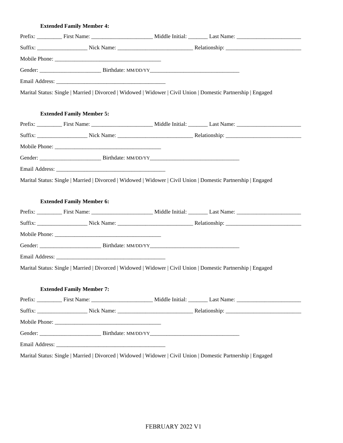### **Extended Family Member 4:**

| Marital Status: Single   Married   Divorced   Widowed   Widower   Civil Union   Domestic Partnership   Engaged |  |
|----------------------------------------------------------------------------------------------------------------|--|
|                                                                                                                |  |
| <b>Extended Family Member 5:</b>                                                                               |  |
|                                                                                                                |  |
|                                                                                                                |  |
|                                                                                                                |  |
|                                                                                                                |  |
|                                                                                                                |  |
| Marital Status: Single   Married   Divorced   Widowed   Widower   Civil Union   Domestic Partnership   Engaged |  |
|                                                                                                                |  |
| <b>Extended Family Member 6:</b>                                                                               |  |
|                                                                                                                |  |
|                                                                                                                |  |
|                                                                                                                |  |
|                                                                                                                |  |
|                                                                                                                |  |
| Marital Status: Single   Married   Divorced   Widowed   Widower   Civil Union   Domestic Partnership   Engaged |  |
|                                                                                                                |  |
| <b>Extended Family Member 7:</b>                                                                               |  |
|                                                                                                                |  |
|                                                                                                                |  |
|                                                                                                                |  |
|                                                                                                                |  |
|                                                                                                                |  |

Marital Status: Single | Married | Divorced | Widowed | Widower | Civil Union | Domestic Partnership | Engaged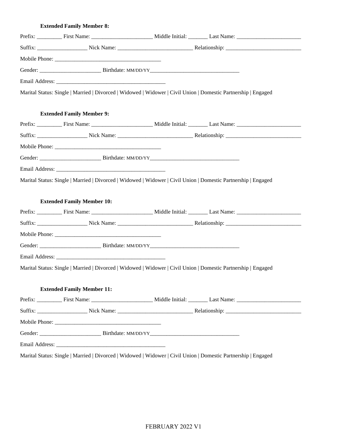#### **Extended Family Member 8:**

| Marital Status: Single   Married   Divorced   Widowed   Widower   Civil Union   Domestic Partnership   Engaged |  |
|----------------------------------------------------------------------------------------------------------------|--|
|                                                                                                                |  |
| <b>Extended Family Member 9:</b>                                                                               |  |
|                                                                                                                |  |
|                                                                                                                |  |
|                                                                                                                |  |
|                                                                                                                |  |
|                                                                                                                |  |
| Marital Status: Single   Married   Divorced   Widowed   Widower   Civil Union   Domestic Partnership   Engaged |  |
|                                                                                                                |  |
| <b>Extended Family Member 10:</b>                                                                              |  |
|                                                                                                                |  |
|                                                                                                                |  |
|                                                                                                                |  |
|                                                                                                                |  |
|                                                                                                                |  |
| Marital Status: Single   Married   Divorced   Widowed   Widower   Civil Union   Domestic Partnership   Engaged |  |
|                                                                                                                |  |
| <b>Extended Family Member 11:</b>                                                                              |  |
|                                                                                                                |  |
|                                                                                                                |  |
|                                                                                                                |  |
|                                                                                                                |  |
|                                                                                                                |  |

Marital Status: Single | Married | Divorced | Widowed | Widower | Civil Union | Domestic Partnership | Engaged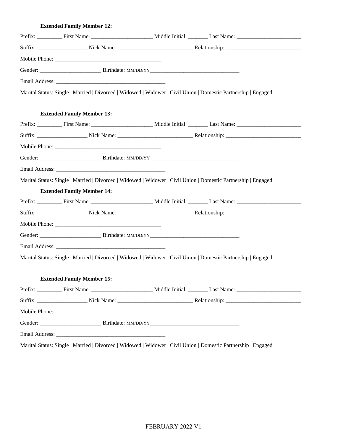### **Extended Family Member 12:**

| Marital Status: Single   Married   Divorced   Widowed   Widower   Civil Union   Domestic Partnership   Engaged |  |
|----------------------------------------------------------------------------------------------------------------|--|
|                                                                                                                |  |
| <b>Extended Family Member 13:</b>                                                                              |  |
|                                                                                                                |  |
|                                                                                                                |  |
|                                                                                                                |  |
|                                                                                                                |  |
|                                                                                                                |  |
| Marital Status: Single   Married   Divorced   Widowed   Widower   Civil Union   Domestic Partnership   Engaged |  |
| <b>Extended Family Member 14:</b>                                                                              |  |
|                                                                                                                |  |
|                                                                                                                |  |
|                                                                                                                |  |
|                                                                                                                |  |
|                                                                                                                |  |
| Marital Status: Single   Married   Divorced   Widowed   Widower   Civil Union   Domestic Partnership   Engaged |  |
|                                                                                                                |  |
| <b>Extended Family Member 15:</b>                                                                              |  |
|                                                                                                                |  |
|                                                                                                                |  |
|                                                                                                                |  |
|                                                                                                                |  |
|                                                                                                                |  |
| Marital Status: Single   Married   Divorced   Widowed   Widower   Civil Union   Domestic Partnership   Engaged |  |